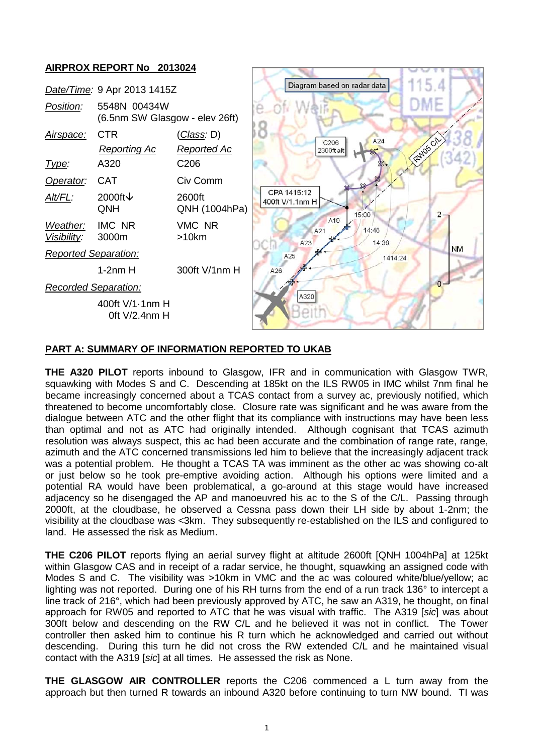

# **PART A: SUMMARY OF INFORMATION REPORTED TO UKAB**

**THE A320 PILOT** reports inbound to Glasgow, IFR and in communication with Glasgow TWR, squawking with Modes S and C. Descending at 185kt on the ILS RW05 in IMC whilst 7nm final he became increasingly concerned about a TCAS contact from a survey ac, previously notified, which threatened to become uncomfortably close. Closure rate was significant and he was aware from the dialogue between ATC and the other flight that its compliance with instructions may have been less than optimal and not as ATC had originally intended. Although cognisant that TCAS azimuth resolution was always suspect, this ac had been accurate and the combination of range rate, range, azimuth and the ATC concerned transmissions led him to believe that the increasingly adjacent track was a potential problem. He thought a TCAS TA was imminent as the other ac was showing co-alt or just below so he took pre-emptive avoiding action. Although his options were limited and a potential RA would have been problematical, a go-around at this stage would have increased adjacency so he disengaged the AP and manoeuvred his ac to the S of the C/L. Passing through 2000ft, at the cloudbase, he observed a Cessna pass down their LH side by about 1-2nm; the visibility at the cloudbase was <3km. They subsequently re-established on the ILS and configured to land. He assessed the risk as Medium.

**THE C206 PILOT** reports flying an aerial survey flight at altitude 2600ft [QNH 1004hPa] at 125kt within Glasgow CAS and in receipt of a radar service, he thought, squawking an assigned code with Modes S and C. The visibility was >10km in VMC and the ac was coloured white/blue/yellow; ac lighting was not reported. During one of his RH turns from the end of a run track 136° to intercept a line track of 216°, which had been previously approved by ATC, he saw an A319, he thought, on final approach for RW05 and reported to ATC that he was visual with traffic. The A319 [*sic*] was about 300ft below and descending on the RW C/L and he believed it was not in conflict. The Tower controller then asked him to continue his R turn which he acknowledged and carried out without descending. During this turn he did not cross the RW extended C/L and he maintained visual contact with the A319 [*sic*] at all times. He assessed the risk as None.

**THE GLASGOW AIR CONTROLLER** reports the C206 commenced a L turn away from the approach but then turned R towards an inbound A320 before continuing to turn NW bound. TI was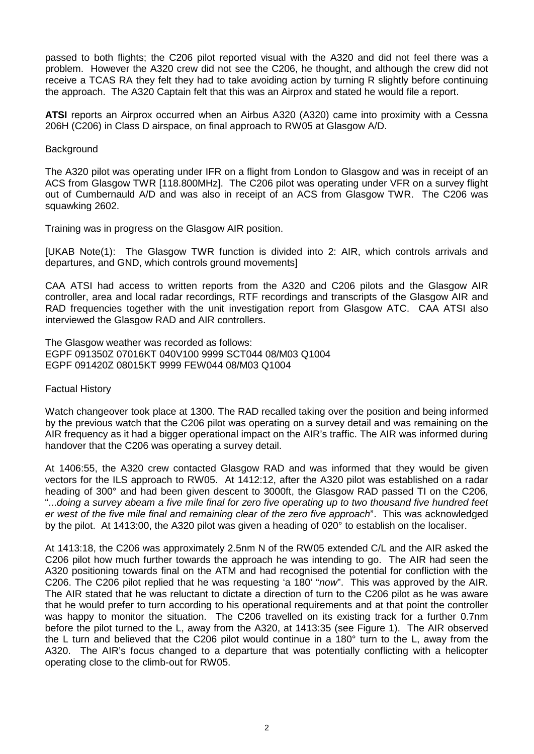passed to both flights; the C206 pilot reported visual with the A320 and did not feel there was a problem. However the A320 crew did not see the C206, he thought, and although the crew did not receive a TCAS RA they felt they had to take avoiding action by turning R slightly before continuing the approach. The A320 Captain felt that this was an Airprox and stated he would file a report.

**ATSI** reports an Airprox occurred when an Airbus A320 (A320) came into proximity with a Cessna 206H (C206) in Class D airspace, on final approach to RW05 at Glasgow A/D.

### **Background**

The A320 pilot was operating under IFR on a flight from London to Glasgow and was in receipt of an ACS from Glasgow TWR [118.800MHz]. The C206 pilot was operating under VFR on a survey flight out of Cumbernauld A/D and was also in receipt of an ACS from Glasgow TWR. The C206 was squawking 2602.

Training was in progress on the Glasgow AIR position.

[UKAB Note(1): The Glasgow TWR function is divided into 2: AIR, which controls arrivals and departures, and GND, which controls ground movements]

CAA ATSI had access to written reports from the A320 and C206 pilots and the Glasgow AIR controller, area and local radar recordings, RTF recordings and transcripts of the Glasgow AIR and RAD frequencies together with the unit investigation report from Glasgow ATC. CAA ATSI also interviewed the Glasgow RAD and AIR controllers.

The Glasgow weather was recorded as follows: EGPF 091350Z 07016KT 040V100 9999 SCT044 08/M03 Q1004 EGPF 091420Z 08015KT 9999 FEW044 08/M03 Q1004

# Factual History

Watch changeover took place at 1300. The RAD recalled taking over the position and being informed by the previous watch that the C206 pilot was operating on a survey detail and was remaining on the AIR frequency as it had a bigger operational impact on the AIR's traffic. The AIR was informed during handover that the C206 was operating a survey detail.

At 1406:55, the A320 crew contacted Glasgow RAD and was informed that they would be given vectors for the ILS approach to RW05. At 1412:12, after the A320 pilot was established on a radar heading of 300° and had been given descent to 3000ft, the Glasgow RAD passed TI on the C206, "...*doing a survey abeam a five mile final for zero five operating up to two thousand five hundred feet er west of the five mile final and remaining clear of the zero five approach*". This was acknowledged by the pilot. At 1413:00, the A320 pilot was given a heading of 020° to establish on the localiser.

At 1413:18, the C206 was approximately 2.5nm N of the RW05 extended C/L and the AIR asked the C206 pilot how much further towards the approach he was intending to go. The AIR had seen the A320 positioning towards final on the ATM and had recognised the potential for confliction with the C206. The C206 pilot replied that he was requesting 'a 180' "*now*". This was approved by the AIR. The AIR stated that he was reluctant to dictate a direction of turn to the C206 pilot as he was aware that he would prefer to turn according to his operational requirements and at that point the controller was happy to monitor the situation. The C206 travelled on its existing track for a further 0.7nm before the pilot turned to the L, away from the A320, at 1413:35 (see Figure 1). The AIR observed the L turn and believed that the C206 pilot would continue in a 180° turn to the L, away from the A320. The AIR's focus changed to a departure that was potentially conflicting with a helicopter operating close to the climb-out for RW05.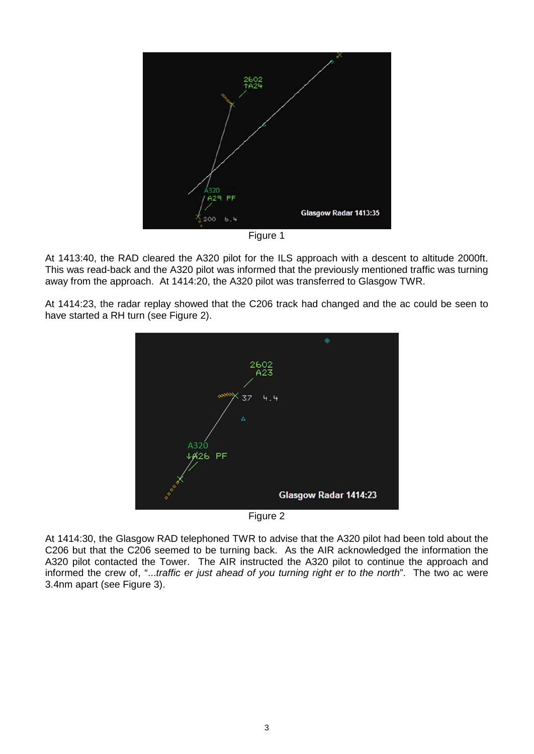

Figure 1

At 1413:40, the RAD cleared the A320 pilot for the ILS approach with a descent to altitude 2000ft. This was read-back and the A320 pilot was informed that the previously mentioned traffic was turning away from the approach. At 1414:20, the A320 pilot was transferred to Glasgow TWR.

At 1414:23, the radar replay showed that the C206 track had changed and the ac could be seen to have started a RH turn (see Figure 2).



Figure 2

At 1414:30, the Glasgow RAD telephoned TWR to advise that the A320 pilot had been told about the C206 but that the C206 seemed to be turning back. As the AIR acknowledged the information the A320 pilot contacted the Tower. The AIR instructed the A320 pilot to continue the approach and informed the crew of, "...*traffic er just ahead of you turning right er to the north*". The two ac were 3.4nm apart (see Figure 3).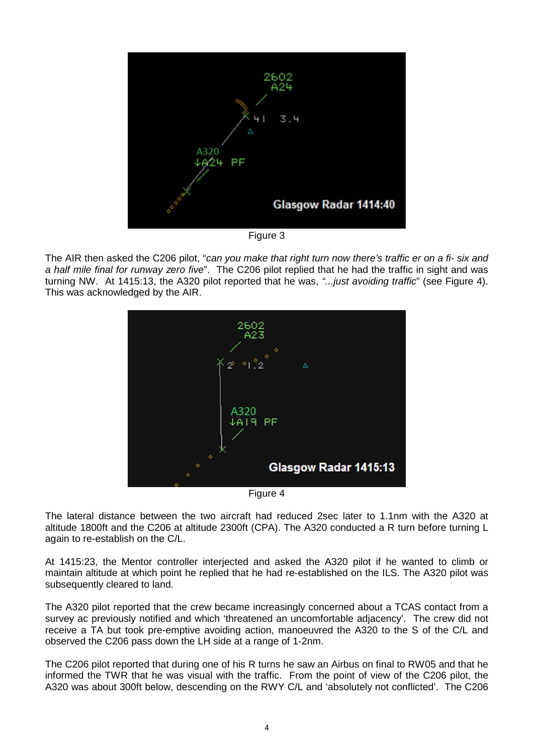

Figure 3

The AIR then asked the C206 pilot, "*can you make that right turn now there's traffic er on a fi- six and a half mile final for runway zero five*". The C206 pilot replied that he had the traffic in sight and was turning NW. At 1415:13, the A320 pilot reported that he was, *"...just avoiding traffic*" (see Figure 4). This was acknowledged by the AIR.



Figure 4

The lateral distance between the two aircraft had reduced 2sec later to 1.1nm with the A320 at altitude 1800ft and the C206 at altitude 2300ft (CPA). The A320 conducted a R turn before turning L again to re-establish on the C/L.

At 1415:23, the Mentor controller interjected and asked the A320 pilot if he wanted to climb or maintain altitude at which point he replied that he had re-established on the ILS. The A320 pilot was subsequently cleared to land.

The A320 pilot reported that the crew became increasingly concerned about a TCAS contact from a survey ac previously notified and which 'threatened an uncomfortable adjacency'. The crew did not receive a TA but took pre-emptive avoiding action, manoeuvred the A320 to the S of the C/L and observed the C206 pass down the LH side at a range of 1-2nm.

The C206 pilot reported that during one of his R turns he saw an Airbus on final to RW05 and that he informed the TWR that he was visual with the traffic. From the point of view of the C206 pilot, the A320 was about 300ft below, descending on the RWY C/L and 'absolutely not conflicted'. The C206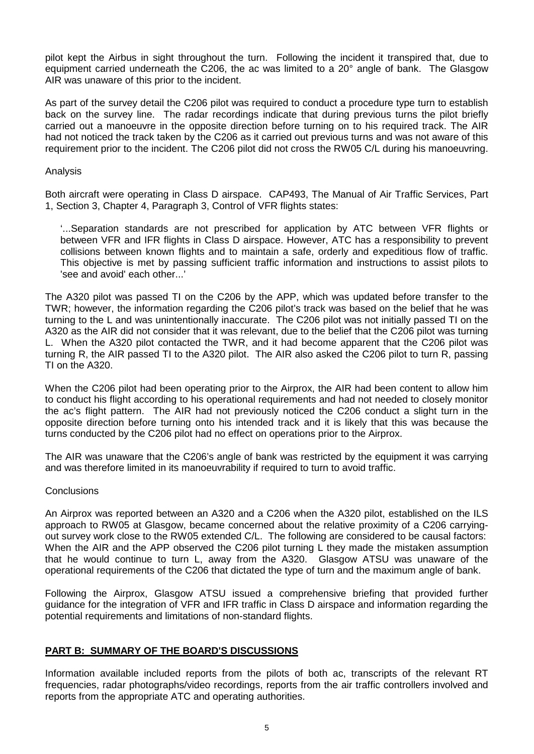pilot kept the Airbus in sight throughout the turn. Following the incident it transpired that, due to equipment carried underneath the C206, the ac was limited to a 20° angle of bank. The Glasgow AIR was unaware of this prior to the incident.

As part of the survey detail the C206 pilot was required to conduct a procedure type turn to establish back on the survey line. The radar recordings indicate that during previous turns the pilot briefly carried out a manoeuvre in the opposite direction before turning on to his required track. The AIR had not noticed the track taken by the C206 as it carried out previous turns and was not aware of this requirement prior to the incident. The C206 pilot did not cross the RW05 C/L during his manoeuvring.

## Analysis

Both aircraft were operating in Class D airspace. CAP493, The Manual of Air Traffic Services, Part 1, Section 3, Chapter 4, Paragraph 3, Control of VFR flights states:

'...Separation standards are not prescribed for application by ATC between VFR flights or between VFR and IFR flights in Class D airspace. However, ATC has a responsibility to prevent collisions between known flights and to maintain a safe, orderly and expeditious flow of traffic. This objective is met by passing sufficient traffic information and instructions to assist pilots to 'see and avoid' each other...'

The A320 pilot was passed TI on the C206 by the APP, which was updated before transfer to the TWR; however, the information regarding the C206 pilot's track was based on the belief that he was turning to the L and was unintentionally inaccurate. The C206 pilot was not initially passed TI on the A320 as the AIR did not consider that it was relevant, due to the belief that the C206 pilot was turning L. When the A320 pilot contacted the TWR, and it had become apparent that the C206 pilot was turning R, the AIR passed TI to the A320 pilot. The AIR also asked the C206 pilot to turn R, passing TI on the A320.

When the C206 pilot had been operating prior to the Airprox, the AIR had been content to allow him to conduct his flight according to his operational requirements and had not needed to closely monitor the ac's flight pattern. The AIR had not previously noticed the C206 conduct a slight turn in the opposite direction before turning onto his intended track and it is likely that this was because the turns conducted by the C206 pilot had no effect on operations prior to the Airprox.

The AIR was unaware that the C206's angle of bank was restricted by the equipment it was carrying and was therefore limited in its manoeuvrability if required to turn to avoid traffic.

### **Conclusions**

An Airprox was reported between an A320 and a C206 when the A320 pilot, established on the ILS approach to RW05 at Glasgow, became concerned about the relative proximity of a C206 carryingout survey work close to the RW05 extended C/L. The following are considered to be causal factors: When the AIR and the APP observed the C206 pilot turning L they made the mistaken assumption that he would continue to turn L, away from the A320. Glasgow ATSU was unaware of the operational requirements of the C206 that dictated the type of turn and the maximum angle of bank.

Following the Airprox, Glasgow ATSU issued a comprehensive briefing that provided further guidance for the integration of VFR and IFR traffic in Class D airspace and information regarding the potential requirements and limitations of non-standard flights.

# **PART B: SUMMARY OF THE BOARD'S DISCUSSIONS**

Information available included reports from the pilots of both ac, transcripts of the relevant RT frequencies, radar photographs/video recordings, reports from the air traffic controllers involved and reports from the appropriate ATC and operating authorities.